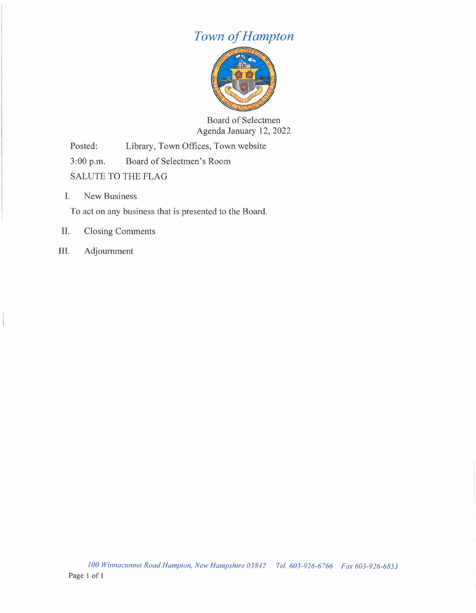## *Town of Hampton*



Board of Selectmen Agenda January 12, 2022

Posted: Library, Town Offices, Town website

3:00 p.m. Board of Selectmen's Room

SALUTE TO THE FLAG

I. New Business

To act on any business that is presented to the Board.

## II. Closing Comments

III. Adjournment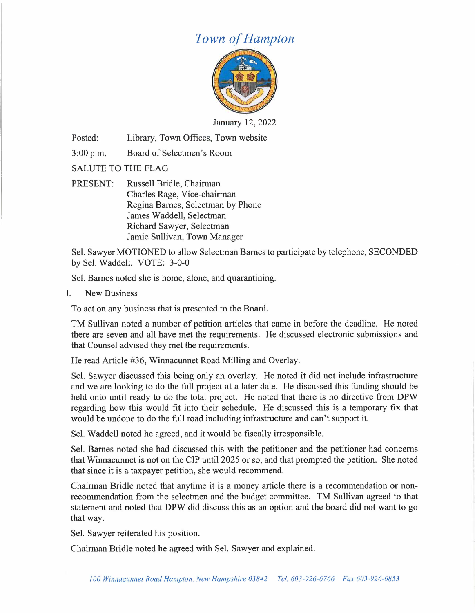## *Town of Hampton*



January 12, 2022

Posted: Library, Town Offices, Town website

3:00 p.m. Board of Selectmen's Room

SALUTE TO THE FLAG

PRESENT: Russell Bridle, Chairman Charles Rage, Vice-chairman Regina Barnes, Selectman by Phone James Waddell, Selectman Richard Sawyer, Selectman Jamie Sullivan, Town Manager

Sel. Sawyer MOTIONED to allow Selectman Barnes to participate by telephone, SECONDED by Sel. Waddell. VOTE: 3-0-0

Sel. Barnes noted she is home, alone, and quarantining.

I. New Business

To act on any business that is presented to the Board.

TM Sullivan noted a number of petition articles that came in before the deadline. He noted there are seven and all have met the requirements. He discussed electronic submissions and that Counsel advised they met the requirements.

He read Article #36, Winnacunnet Road Milling and Overlay.

Sel. Sawyer discussed this being only an overlay. He noted it did not include infrastructure and we are looking to do the full project at a later date. He discussed this funding should be held onto until ready to do the total project. He noted that there is no directive from DPW regarding how this would fit into their schedule. He discussed this is a temporary fix that would be undone to do the full road including infrastructure and can't support it.

Sel. Waddell noted he agreed, and it would be fiscally irresponsible.

Sel. Barnes noted she had discussed this with the petitioner and the petitioner had concerns that Winnacunnet is not on the CIP until 2025 or so, and that prompted the petition. She noted that since it is a taxpayer petition, she would recommend.

Chairman Bridle noted that anytime it is a money article there is a recommendation or nonrecommendation from the selectmen and the budget committee. TM Sullivan agreed to that statement and noted that DPW did discuss this as an option and the board did not want to go that way.

Sel. Sawyer reiterated his position.

Chairman Bridle noted he agreed with Sel. Sawyer and explained.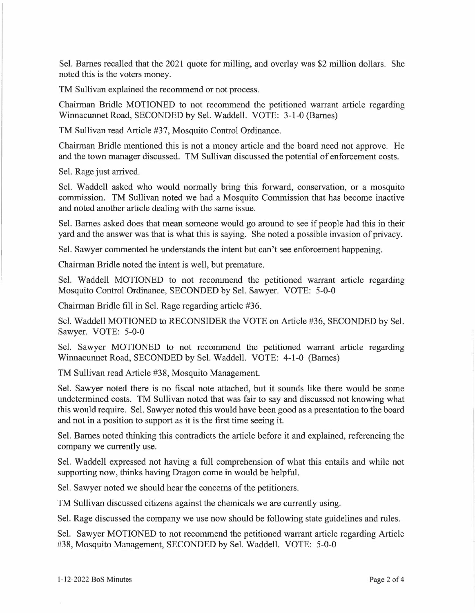Sel. Barnes recalled that the 2021 quote for milling, and overlay was \$2 million dollars. She noted this is the voters money.

TM Sullivan explained the recommend or not process.

Chairman Bridle MOTIONED to not recommend the petitioned warrant article regarding Winnacunnet Road, SECONDED by Sel. Waddell. VOTE: 3-1-0 (Barnes)

TM Sullivan read Article #37, Mosquito Control Ordinance.

Chairman Bridle mentioned this is not a money article and the board need not approve. He and the town manager discussed. TM Sullivan discussed the potential of enforcement costs.

Sel. Rage just arrived.

Sel. Waddell asked who would normally bring this forward, conservation, or a mosquito commission. TM Sullivan noted we had a Mosquito Commission that has become inactive and noted another article dealing with the same issue.

Sel. Barnes asked does that mean someone would go around to see if people had this in their yard and the answer was that is what this is saying. She noted a possible invasion of privacy.

Sel. Sawyer commented he understands the intent but can't see enforcement happening.

Chairman Bridle noted the intent is well, but premature.

Sel. Waddell MOTIONED to not recommend the petitioned warrant article regarding Mosquito Control Ordinance, SECONDED by Sel. Sawyer. VOTE: 5-0-0

Chairman Bridle fill in Sel. Rage regarding article #36.

Sel. Waddell MOTIONED to RECONSIDER the VOTE on Article #36, SECONDED by Sel. Sawyer. VOTE: 5-0-0

Sel. Sawyer MOTIONED to not recommend the petitioned warrant article regarding Winnacunnet Road, SECONDED by Sel. Waddell. VOTE: 4-1-0 (Barnes)

TM Sullivan read Article #38, Mosquito Management.

Sel. Sawyer noted there is no fiscal note attached, but it sounds like there would be some undetermined costs. TM Sullivan noted that was fair to say and discussed not knowing what this would require. Sel. Sawyer noted this would have been good as a presentation to the board and not in a position to support as it is the first time seeing it.

Sel. Barnes noted thinking this contradicts the article before it and explained, referencing the company we currently use.

Sel. Waddell expressed not having a full comprehension of what this entails and while not supporting now, thinks having Dragon come in would be helpful.

Sel. Sawyer noted we should hear the concerns of the petitioners.

TM Sullivan discussed citizens against the chemicals we are currently using.

Sel. Rage discussed the company we use now should be following state guidelines and rules.

Sel. Sawyer MOTIONED to not recommend the petitioned warrant article regarding Article #38, Mosquito Management, SECONDED by Sel. Waddell. VOTE: 5-0-0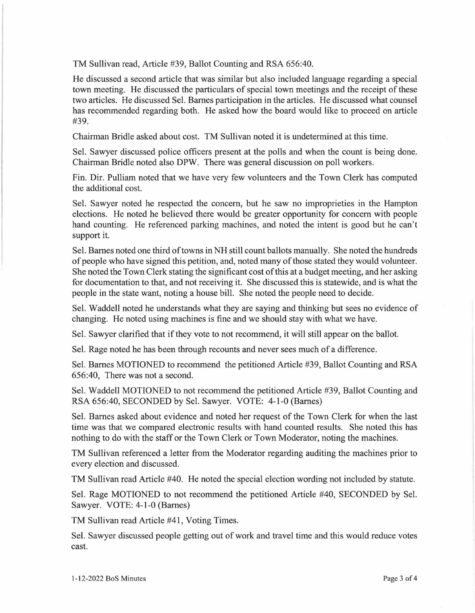TM Sullivan read, Article #39, Ballot Counting and RSA 656:40.

He discussed a second article that was similar but also included language regarding a special town meeting. He discussed the particulars of special town meetings and the receipt of these two articles. He discussed Sel. Barnes participation in the articles. He discussed what counsel has recommended regarding both. He asked how the board would like to proceed on article #39.

Chairman Bridle asked about cost. TM Sullivan noted it is undetermined at this time.

Sel. Sawyer discussed police officers present at the polls and when the count is being done. Chairman Bridle noted also DPW. There was general discussion on poll workers.

Fin. Dir. Pulliam noted that we have very few volunteers and the Town Clerk has computed the additional cost.

Sel. Sawyer noted he respected the concern, but he saw no improprieties in the Hampton elections. He noted he believed there would be greater opportunity for concern with people hand counting. He referenced parking machines, and noted the intent is good but he can't support it.

Sel. Barnes noted one third of towns in NH still count ballots manually. She noted the hundreds of people who have signed this petition, and, noted many of those stated they would volunteer. She noted the Town Clerk stating the significant cost of this at a budget meeting, and her asking for documentation to that, and not receiving it. She discussed this is statewide, and is what the people in the state want, noting a house bill. She noted the people need to decide.

Sel. Waddell noted he understands what they are saying and thinking but sees no evidence of changing. He noted using machines is fine and we should stay with what we have.

Sel. Sawyer clarified that if they vote to not recommend, it will still appear on the ballot.

Sel. Rage noted he has been through recounts and never sees much of a difference.

Sel. Barnes MOTIONED to recommend the petitioned Article #39, Ballot Counting and RSA 656:40, There was not a second.

Sel. Waddell MOTIONED to not recommend the petitioned Article #39, Ballot Counting and RSA 656:40, SECONDED by Sel. Sawyer. VOTE: 4-1-0 (Barnes)

Sel. Barnes asked about evidence and noted her request of the Town Clerk for when the last time was that we compared electronic results with hand counted results. She noted this has nothing to do with the staff or the Town Clerk or Town Moderator, noting the machines.

TM Sullivan referenced a letter from the Moderator regarding auditing the machines prior to every election and discussed.

TM Sullivan read Article #40. He noted the special election wording not included by statute.

Sel. Rage MOTIONED to not recommend the petitioned Article #40, SECONDED by Sel. Sawyer. VOTE: 4-1-0 (Barnes)

TM Sullivan read Article #41, Voting Times.

Sel. Sawyer discussed people getting out of work and travel time and this would reduce votes cast.